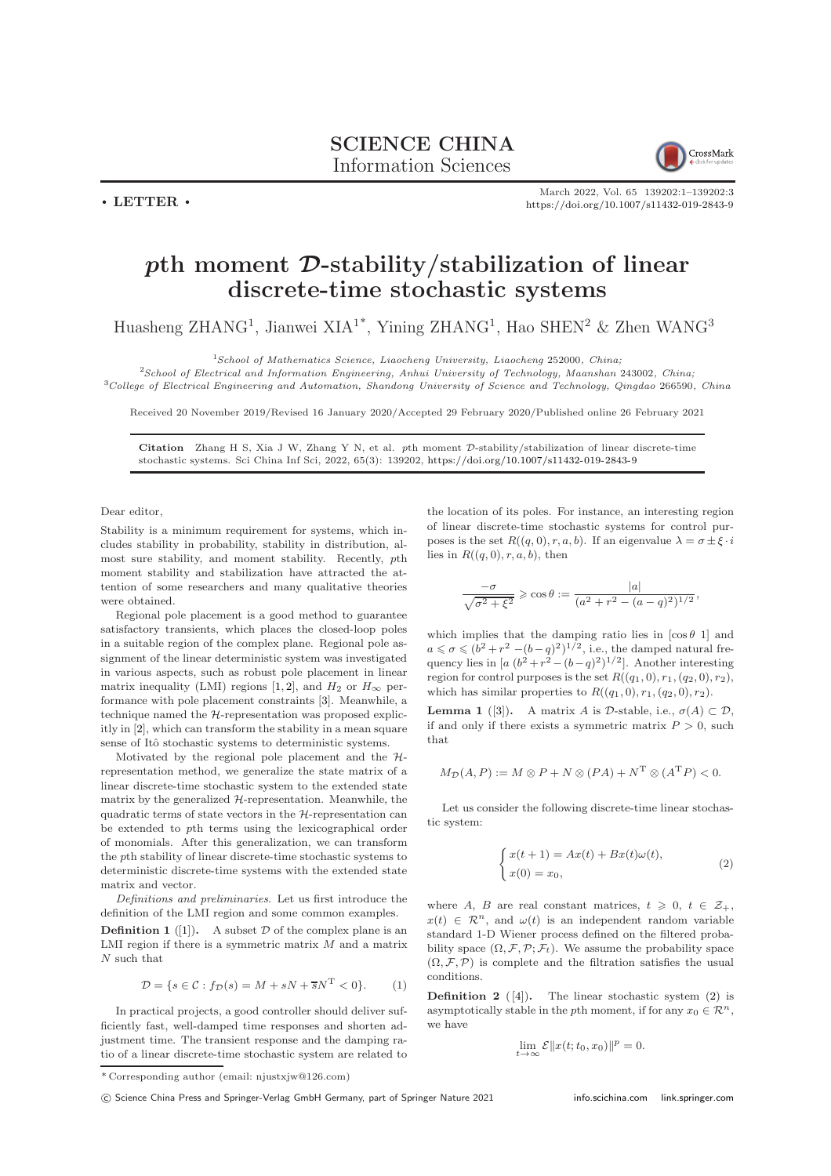## SCIENCE CHINA

Information Sciences

 $\cdot$  LETTER  $\cdot$ 



March 2022, Vol. 65 139202:1–139202[:3](#page-2-0) <https://doi.org/10.1007/s11432-019-2843-9>

## pth moment D-stability/stabilization of linear discrete-time stochastic systems

Huasheng ZHANG<sup>1</sup>, Jianwei XIA<sup>1\*</sup>, Yining ZHANG<sup>1</sup>, Hao SHEN<sup>2</sup> & Zhen WANG<sup>3</sup>

<sup>1</sup>School of Mathematics Science, Liaocheng University, Liaocheng 252000, China;

<sup>2</sup>School of Electrical and Information Engineering, Anhui University of Technology, Maanshan 243002, China; <sup>3</sup>College of Electrical Engineering and Automation, Shandong University of Science and Technology, Qingdao 266590, China

Received 20 November 2019/Revised 16 January 2020/Accepted 29 February 2020/Published online 26 February 2021

Citation Zhang H S, Xia J W, Zhang Y N, et al. pth moment D-stability/stabilization of linear discrete-time stochastic systems. Sci China Inf Sci, 2022, 65(3): 139202, <https://doi.org/10.1007/s11432-019-2843-9>

Dear editor,

Stability is a minimum requirement for systems, which includes stability in probability, stability in distribution, almost sure stability, and moment stability. Recently, pth moment stability and stabilization have attracted the attention of some researchers and many qualitative theories were obtained.

Regional pole placement is a good method to guarantee satisfactory transients, which places the closed-loop poles in a suitable region of the complex plane. Regional pole assignment of the linear deterministic system was investigated in various aspects, such as robust pole placement in linear matrix inequality (LMI) regions [\[1,](#page-2-1) [2\]](#page-2-2), and  $H_2$  or  $H_{\infty}$  performance with pole placement constraints [\[3\]](#page-2-3). Meanwhile, a technique named the H-representation was proposed explicitly in [\[2\]](#page-2-2), which can transform the stability in a mean square sense of Itô stochastic systems to deterministic systems.

Motivated by the regional pole placement and the  $H$ representation method, we generalize the state matrix of a linear discrete-time stochastic system to the extended state matrix by the generalized  $H$ -representation. Meanwhile, the quadratic terms of state vectors in the H-representation can be extended to pth terms using the lexicographical order of monomials. After this generalization, we can transform the pth stability of linear discrete-time stochastic systems to deterministic discrete-time systems with the extended state matrix and vector.

Definitions and preliminaries. Let us first introduce the definition of the LMI region and some common examples.

**Definition 1** ([\[1\]](#page-2-1)). A subset  $D$  of the complex plane is an LMI region if there is a symmetric matrix  $M$  and a matrix N such that

$$
\mathcal{D} = \{ s \in \mathcal{C} : f_{\mathcal{D}}(s) = M + sN + \overline{s}N^{\mathrm{T}} < 0 \}. \tag{1}
$$

In practical projects, a good controller should deliver sufficiently fast, well-damped time responses and shorten adjustment time. The transient response and the damping ratio of a linear discrete-time stochastic system are related to the location of its poles. For instance, an interesting region of linear discrete-time stochastic systems for control purposes is the set  $R((q, 0), r, a, b)$ . If an eigenvalue  $\lambda = \sigma \pm \xi \cdot i$ lies in  $R((q, 0), r, a, b)$ , then

$$
\frac{-\sigma}{\sqrt{\sigma^2 + \xi^2}} \geqslant \cos \theta := \frac{|a|}{(a^2 + r^2 - (a - q)^2)^{1/2}},
$$

which implies that the damping ratio lies in  $[\cos \theta \ 1]$  and  $a \leq \sigma \leq (b^2 + r^2 - (b - q)^2)^{1/2}$ , i.e., the damped natural frequency lies in  $[a (b^2 + r^2 - (b-q)^2)^{1/2}]$ . Another interesting region for control purposes is the set  $R((q_1, 0), r_1, (q_2, 0), r_2)$ , which has similar properties to  $R((q_1, 0), r_1, (q_2, 0), r_2)$ .

**Lemma 1** ([\[3\]](#page-2-3)). A matrix A is D-stable, i.e.,  $\sigma(A) \subset \mathcal{D}$ , if and only if there exists a symmetric matrix  $P > 0$ , such that

$$
M_{\mathcal{D}}(A, P) := M \otimes P + N \otimes (PA) + N^{T} \otimes (A^{T}P) < 0.
$$

Let us consider the following discrete-time linear stochastic system:

<span id="page-0-0"></span>
$$
\begin{cases}\nx(t+1) = Ax(t) + Bx(t)\omega(t), \\
x(0) = x_0,\n\end{cases}
$$
\n(2)

where A, B are real constant matrices,  $t \geq 0, t \in \mathcal{Z}_+$ ,  $x(t) \in \mathcal{R}^n$ , and  $\omega(t)$  is an independent random variable standard 1-D Wiener process defined on the filtered probability space  $(\Omega, \mathcal{F}, \mathcal{P}; \mathcal{F}_t)$ . We assume the probability space  $(\Omega, \mathcal{F}, \mathcal{P})$  is complete and the filtration satisfies the usual conditions.

**Definition 2** ([\[4\]](#page-2-4)). The linear stochastic system [\(2\)](#page-0-0) is asymptotically stable in the pth moment, if for any  $x_0 \in \mathbb{R}^n$ , we have

$$
\lim_{t \to \infty} \mathcal{E} ||x(t; t_0, x_0)||^p = 0.
$$

c Science China Press and Springer-Verlag GmbH Germany, part of Springer Nature 2021 <info.scichina.com><link.springer.com>

<sup>\*</sup> Corresponding author (email: njustxjw@126.com)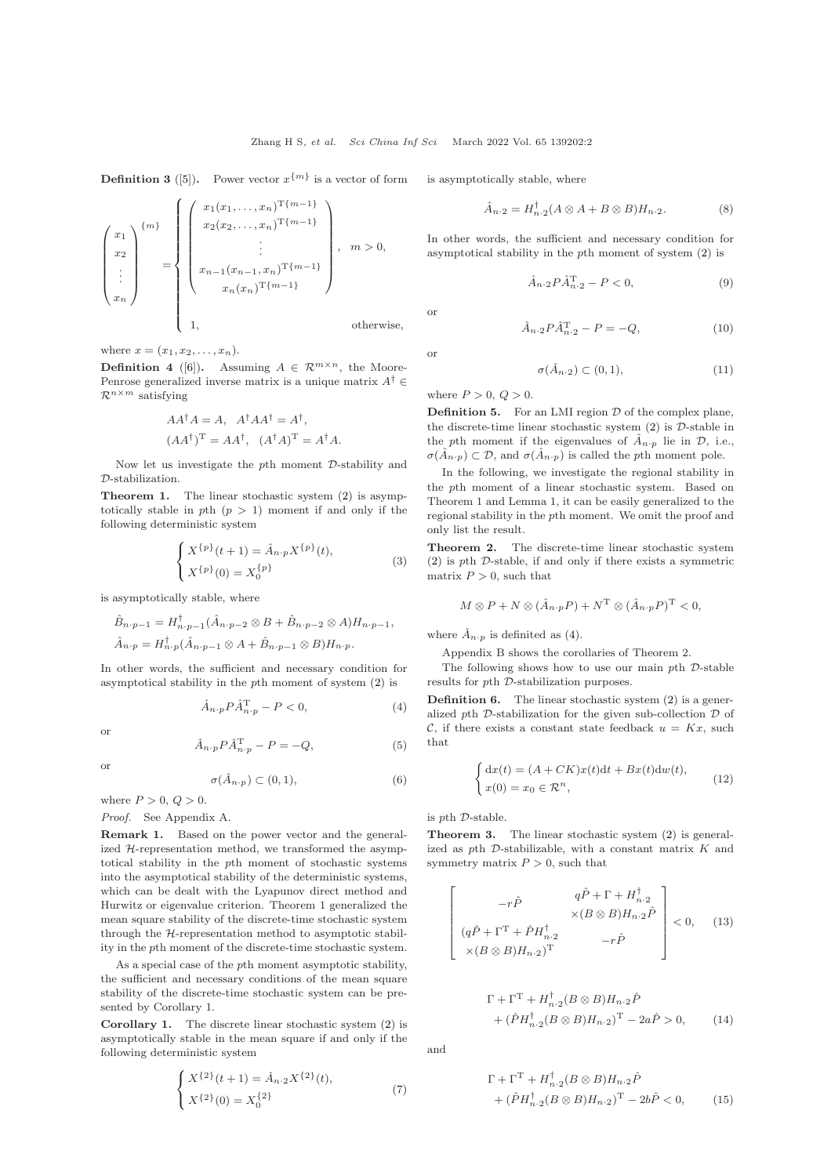**Definition 3** ([\[5\]](#page-2-5)). Power vector  $x^{\{m\}}$  is a vector of form

$$
\begin{pmatrix}\nx_1 \\
x_2 \\
\vdots \\
x_n\n\end{pmatrix}^{m} = \begin{pmatrix}\nx_1(x_1, \dots, x_n)^{T\{m-1\}} \\
x_2(x_2, \dots, x_n)^{T\{m-1\}} \\
\vdots \\
x_{n-1}(x_{n-1}, x_n)^{T\{m-1\}} \\
\vdots \\
x_n(x_n)^{T\{m-1\}}\n\end{pmatrix}, \quad m > 0,
$$
\n
$$
x_n(x_n)^{T\{m-1\}}
$$
\notherwise,

where  $x = (x_1, x_2, \ldots, x_n)$ .

**Definition 4** ([\[6\]](#page-2-6)). Assuming  $A \in \mathbb{R}^{m \times n}$ , the Moore-Penrose generalized inverse matrix is a unique matrix  $A^\dagger$   $\in$  $\mathcal{R}^{n \times m}$  satisfying

$$
AA^{\dagger}A = A, A^{\dagger}AA^{\dagger} = A^{\dagger},
$$
  

$$
(AA^{\dagger})^{\mathrm{T}} = AA^{\dagger}, (A^{\dagger}A)^{\mathrm{T}} = A^{\dagger}A.
$$

Now let us investigate the pth moment D-stability and D-stabilization.

Theorem 1. The linear stochastic system [\(2\)](#page-0-0) is asymptotically stable in pth  $(p > 1)$  moment if and only if the following deterministic system

$$
\begin{cases} X^{\{p\}}(t+1) = \hat{A}_{n \cdot p} X^{\{p\}}(t), \\ X^{\{p\}}(0) = X_0^{\{p\}} \end{cases}
$$
 (3)

is asymptotically stable, where

$$
\hat{B}_{n \cdot p-1} = H_{n \cdot p-1}^{\dagger}(\hat{A}_{n \cdot p-2} \otimes B + \hat{B}_{n \cdot p-2} \otimes A) H_{n \cdot p-1},
$$
  

$$
\hat{A}_{n \cdot p} = H_{n \cdot p}^{\dagger}(\hat{A}_{n \cdot p-1} \otimes A + \hat{B}_{n \cdot p-1} \otimes B) H_{n \cdot p}.
$$

In other words, the sufficient and necessary condition for asymptotical stability in the pth moment of system [\(2\)](#page-0-0) is

<span id="page-1-0"></span>
$$
\hat{A}_{n \cdot p} P \hat{A}_{n \cdot p}^{\mathrm{T}} - P < 0,\tag{4}
$$

$$
\mathcal{L}^{\mathcal{L}}
$$

$$
\hat{A}_{n\cdot p} P \hat{A}_{n\cdot p}^{\mathrm{T}} - P = -Q,\tag{5}
$$

or

or

$$
\sigma(\hat{A}_{n\cdot p}) \subset (0,1),\tag{6}
$$

where  $P > 0$ ,  $Q > 0$ .

Proof. See Appendix A.

Remark 1. Based on the power vector and the generalized H-representation method, we transformed the asymptotical stability in the pth moment of stochastic systems into the asymptotical stability of the deterministic systems, which can be dealt with the Lyapunov direct method and Hurwitz or eigenvalue criterion. Theorem 1 generalized the mean square stability of the discrete-time stochastic system through the H-representation method to asymptotic stability in the pth moment of the discrete-time stochastic system.

As a special case of the pth moment asymptotic stability, the sufficient and necessary conditions of the mean square stability of the discrete-time stochastic system can be presented by Corollary 1.

Corollary 1. The discrete linear stochastic system [\(2\)](#page-0-0) is asymptotically stable in the mean square if and only if the following deterministic system

$$
\begin{cases} X^{\{2\}}(t+1) = \hat{A}_{n\cdot 2} X^{\{2\}}(t), \\ X^{\{2\}}(0) = X_0^{\{2\}} \end{cases} \tag{7}
$$

is asymptotically stable, where

$$
\hat{A}_{n\cdot 2} = H_{n\cdot 2}^{\dagger}(A \otimes A + B \otimes B)H_{n\cdot 2}.
$$
 (8)

In other words, the sufficient and necessary condition for asymptotical stability in the pth moment of system [\(2\)](#page-0-0) is

$$
\hat{A}_{n\cdot 2} P \hat{A}_{n\cdot 2}^{\mathrm{T}} - P < 0,\tag{9}
$$

or

or

$$
\hat{A}_{n\cdot 2} P \hat{A}_{n\cdot 2}^{\mathrm{T}} - P = -Q,\tag{10}
$$

$$
\sigma(\hat{A}_{n\cdot 2}) \subset (0,1),\tag{11}
$$

where  $P > 0$ ,  $Q > 0$ .

**Definition 5.** For an LMI region  $D$  of the complex plane, the discrete-time linear stochastic system  $(2)$  is  $D$ -stable in the pth moment if the eigenvalues of  $\hat{A}_{n,p}$  lie in  $\mathcal{D}$ , i.e.,  $\sigma(\hat{A}_{n\cdot p}) \subset \mathcal{D}$ , and  $\sigma(\hat{A}_{n\cdot p})$  is called the pth moment pole.

In the following, we investigate the regional stability in the pth moment of a linear stochastic system. Based on Theorem 1 and Lemma 1, it can be easily generalized to the regional stability in the pth moment. We omit the proof and only list the result.

Theorem 2. The discrete-time linear stochastic system  $(2)$  is *pth D*-stable, if and only if there exists a symmetric matrix  $P > 0$ , such that

$$
M \otimes P + N \otimes (\hat{A}_{n \cdot p} P) + N^{\mathrm{T}} \otimes (\hat{A}_{n \cdot p} P)^{\mathrm{T}} < 0,
$$

where  $\hat{A}_{n \cdot p}$  is definited as [\(4\)](#page-1-0).

Appendix B shows the corollaries of Theorem 2.

The following shows how to use our main *-stable* results for pth D-stabilization purposes.

Definition 6. The linear stochastic system [\(2\)](#page-0-0) is a generalized pth  $\mathcal D$ -stabilization for the given sub-collection  $\mathcal D$  of C, if there exists a constant state feedback  $u = Kx$ , such that

$$
\begin{cases} dx(t) = (A + CK)x(t)dt + Bx(t)dw(t), \\ x(0) = x_0 \in \mathcal{R}^n, \end{cases}
$$
 (12)

is pth D-stable.

Theorem 3. The linear stochastic system [\(2\)](#page-0-0) is generalized as pth  $D$ -stabilizable, with a constant matrix  $K$  and symmetry matrix  $P > 0$ , such that

$$
\begin{bmatrix}\n-r\hat{P} & q\hat{P} + \Gamma + H_{n\cdot 2}^{\dagger} \\
\times (B \otimes B)H_{n\cdot 2}\hat{P} & \times (B \otimes B)H_{n\cdot 2}\hat{P} \\
\times (B \otimes B)H_{n\cdot 2})^{\text{T}} & -r\hat{P}\n\end{bmatrix} < 0, \quad (13)
$$

$$
\Gamma + \Gamma^{\mathrm{T}} + H_{n\cdot 2}^{\dagger} (B \otimes B) H_{n\cdot 2} \hat{P}
$$
  
+ 
$$
(\hat{P} H_{n\cdot 2}^{\dagger} (B \otimes B) H_{n\cdot 2})^{\mathrm{T}} - 2a \hat{P} > 0,
$$
 (14)

and

$$
\Gamma + \Gamma^{\rm T} + H_{n\cdot 2}^{\dagger} (B \otimes B) H_{n\cdot 2} \hat{P} + (\hat{P} H_{n\cdot 2}^{\dagger} (B \otimes B) H_{n\cdot 2})^{\rm T} - 2b \hat{P} < 0, \qquad (15)
$$